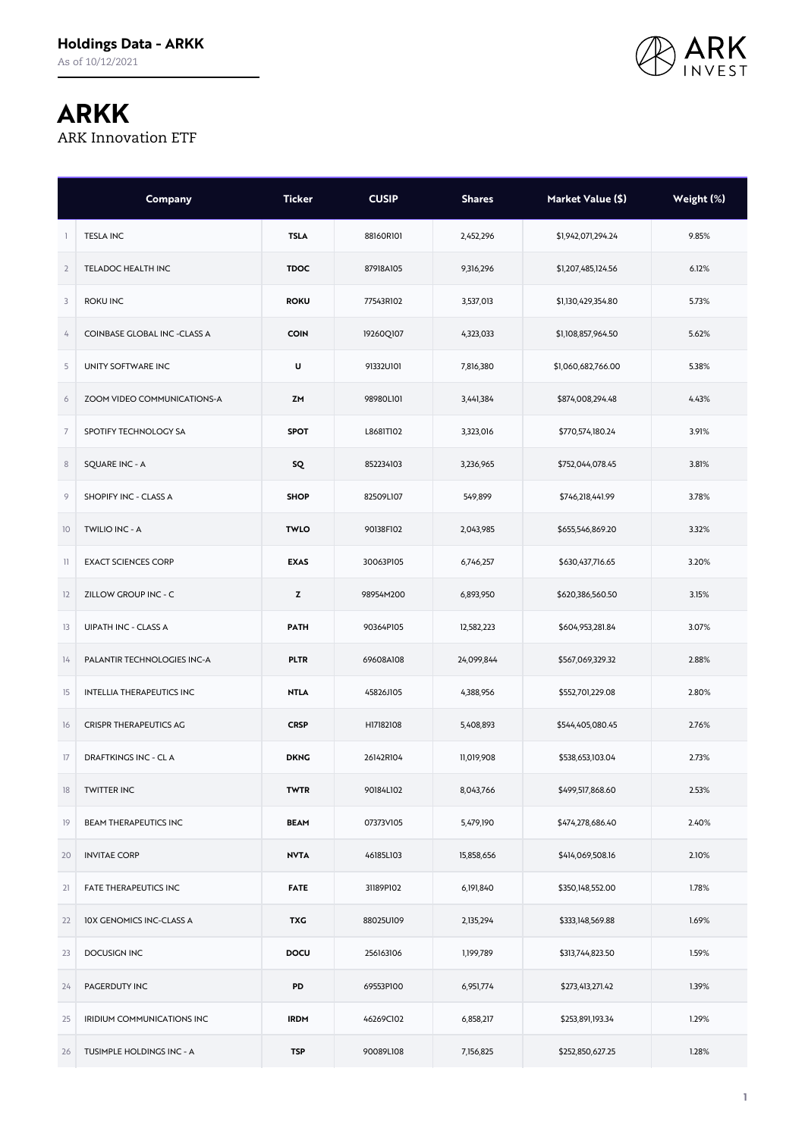

## **ARKK**

ARK Innovation ETF

|                | Company                             | <b>Ticker</b> | <b>CUSIP</b> | <b>Shares</b> | Market Value (\$)  | Weight (%) |
|----------------|-------------------------------------|---------------|--------------|---------------|--------------------|------------|
| -1             | <b>TESLA INC</b>                    | <b>TSLA</b>   | 88160R101    | 2,452,296     | \$1,942,071,294.24 | 9.85%      |
| $\overline{2}$ | TELADOC HEALTH INC                  | <b>TDOC</b>   | 87918A105    | 9,316,296     | \$1,207,485,124.56 | 6.12%      |
| 3              | <b>ROKU INC</b>                     | <b>ROKU</b>   | 77543R102    | 3,537,013     | \$1,130,429,354.80 | 5.73%      |
| 4              | <b>COINBASE GLOBAL INC -CLASS A</b> | <b>COIN</b>   | 19260Q107    | 4,323,033     | \$1,108,857,964.50 | 5.62%      |
| 5              | UNITY SOFTWARE INC                  | U             | 91332U101    | 7,816,380     | \$1,060,682,766.00 | 5.38%      |
| 6              | ZOOM VIDEO COMMUNICATIONS-A         | ZM            | 98980L101    | 3,441,384     | \$874,008,294.48   | 4.43%      |
| $\overline{7}$ | SPOTIFY TECHNOLOGY SA               | <b>SPOT</b>   | L8681T102    | 3,323,016     | \$770,574,180.24   | 3.91%      |
| $\,$ 8 $\,$    | <b>SQUARE INC - A</b>               | <b>SQ</b>     | 852234103    | 3,236,965     | \$752,044,078.45   | 3.81%      |
| 9              | SHOPIFY INC - CLASS A               | <b>SHOP</b>   | 82509L107    | 549,899       | \$746,218,441.99   | 3.78%      |
| 10             | TWILIO INC - A                      | <b>TWLO</b>   | 90138F102    | 2,043,985     | \$655,546,869.20   | 3.32%      |
| $\mathbb{1}$   | <b>EXACT SCIENCES CORP</b>          | <b>EXAS</b>   | 30063P105    | 6,746,257     | \$630,437,716.65   | 3.20%      |
| 12             | ZILLOW GROUP INC - C                | z             | 98954M200    | 6,893,950     | \$620,386,560.50   | 3.15%      |
| 13             | UIPATH INC - CLASS A                | <b>PATH</b>   | 90364P105    | 12,582,223    | \$604,953,281.84   | 3.07%      |
| 14             | PALANTIR TECHNOLOGIES INC-A         | <b>PLTR</b>   | 69608A108    | 24,099,844    | \$567,069,329.32   | 2.88%      |
| 15             | INTELLIA THERAPEUTICS INC           | <b>NTLA</b>   | 45826J105    | 4,388,956     | \$552,701,229.08   | 2.80%      |
| 16             | <b>CRISPR THERAPEUTICS AG</b>       | <b>CRSP</b>   | H17182108    | 5,408,893     | \$544,405,080.45   | 2.76%      |
| 17             | <b>DRAFTKINGS INC - CLA</b>         | <b>DKNG</b>   | 26142R104    | 11,019,908    | \$538,653,103.04   | 2.73%      |
| 18             | <b>TWITTER INC</b>                  | <b>TWTR</b>   | 90184L102    | 8,043,766     | \$499,517,868.60   | 2.53%      |
| 19             | <b>BEAM THERAPEUTICS INC</b>        | <b>BEAM</b>   | 07373V105    | 5,479,190     | \$474,278,686.40   | 2.40%      |
| 20             | <b>INVITAE CORP</b>                 | <b>NVTA</b>   | 46185L103    | 15,858,656    | \$414,069,508.16   | 2.10%      |
| 21             | FATE THERAPEUTICS INC               | <b>FATE</b>   | 31189P102    | 6,191,840     | \$350,148,552.00   | 1.78%      |
| 22             | <b>IOX GENOMICS INC-CLASS A</b>     | <b>TXG</b>    | 88025U109    | 2,135,294     | \$333,148,569.88   | 1.69%      |
| 23             | DOCUSIGN INC                        | DOCU          | 256163106    | 1,199,789     | \$313,744,823.50   | 1.59%      |
| 24             | PAGERDUTY INC                       | PD            | 69553P100    | 6,951,774     | \$273,413,271.42   | 1.39%      |
| 25             | IRIDIUM COMMUNICATIONS INC          | <b>IRDM</b>   | 46269C102    | 6,858,217     | \$253,891,193.34   | 1.29%      |
| 26             | TUSIMPLE HOLDINGS INC - A           | <b>TSP</b>    | 90089L108    | 7,156,825     | \$252,850,627.25   | 1.28%      |